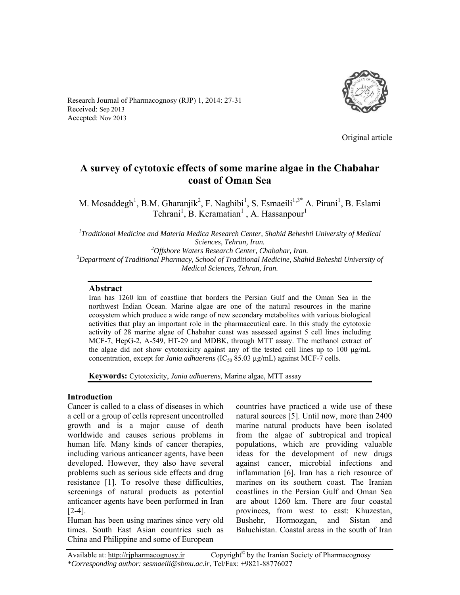

Research Journal of Pharmacognosy (RJP) 1, 2014: 27-31 Received: Sep 2013 Accepted: Nov 2013

Original article

# **A survey of cytotoxic effects of some marine algae in the Chabahar coast of Oman Sea**

M. Mosaddegh<sup>1</sup>, B.M. Gharanjik<sup>2</sup>, F. Naghibi<sup>1</sup>, S. Esmaeili<sup>1,3\*</sup> A. Pirani<sup>1</sup>, B. Eslami Tehrani<sup>1</sup>, B. Keramatian<sup>1</sup>, A. Hassanpour<sup>1</sup>

*1 Traditional Medicine and Materia Medica Research Center, Shahid Beheshti University of Medical Sciences, Tehran, Iran. 2 Offshore Waters Research Center, Chabahar, Iran. 3* <sup>3</sup>Department of Traditional Pharmacy, School of Traditional Medicine, Shahid Beheshti University of *Medical Sciences, Tehran, Iran.* 

# **Abstract**

Iran has 1260 km of coastline that borders the Persian Gulf and the Oman Sea in the northwest Indian Ocean. Marine algae are one of the natural resources in the marine ecosystem which produce a wide range of new secondary metabolites with various biological activities that play an important role in the pharmaceutical care. In this study the cytotoxic activity of 28 marine algae of Chabahar coast was assessed against 5 cell lines including MCF-7, HepG-2, A-549, HT-29 and MDBK, through MTT assay. The methanol extract of the algae did not show cytotoxicity against any of the tested cell lines up to 100  $\mu$ g/mL concentration, except for *Jania adhaerens* (IC<sub>50</sub> 85.03 µg/mL) against MCF-7 cells.

**Keywords:** Cytotoxicity, *Jania adhaerens,* Marine algae, MTT assay

# **Introduction**

Cancer is called to a class of diseases in which a cell or a group of cells represent uncontrolled growth and is a major cause of death worldwide and causes serious problems in human life. Many kinds of cancer therapies, including various anticancer agents, have been developed. However, they also have several problems such as serious side effects and drug resistance [1]. To resolve these difficulties, screenings of natural products as potential anticancer agents have been performed in Iran [2-4].

Human has been using marines since very old times. South East Asian countries such as China and Philippine and some of European

countries have practiced a wide use of these natural sources [5]. Until now, more than 2400 marine natural products have been isolated from the algae of subtropical and tropical populations, which are providing valuable ideas for the development of new drugs against cancer, microbial infections and inflammation [6]. Iran has a rich resource of marines on its southern coast. The Iranian coastlines in the Persian Gulf and Oman Sea are about 1260 km. There are four coastal provinces, from west to east: Khuzestan, Bushehr, Hormozgan, and Sistan and Baluchistan. Coastal areas in the south of Iran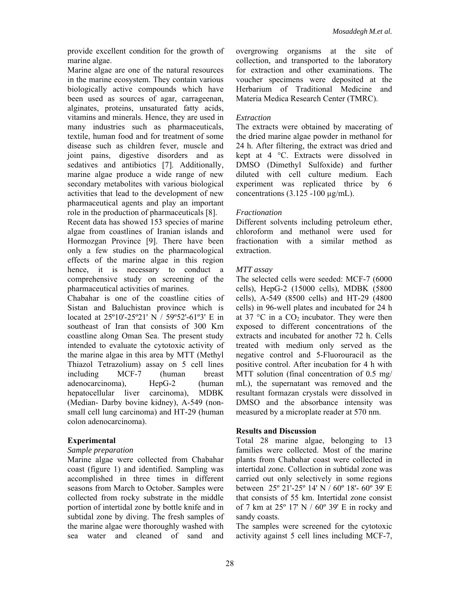provide excellent condition for the growth of marine algae.

Marine algae are one of the natural resources in the marine ecosystem. They contain various biologically active compounds which have been used as sources of agar, carrageenan, alginates, proteins, unsaturated fatty acids, vitamins and minerals. Hence, they are used in many industries such as pharmaceuticals, textile, human food and for treatment of some disease such as children fever, muscle and joint pains, digestive disorders and as sedatives and antibiotics [7]. Additionally, marine algae produce a wide range of new secondary metabolites with various biological activities that lead to the development of new pharmaceutical agents and play an important role in the production of pharmaceuticals [8].

Recent data has showed 153 species of marine algae from coastlines of Iranian islands and Hormozgan Province [9]. There have been only a few studies on the pharmacological effects of the marine algae in this region hence, it is necessary to conduct a comprehensive study on screening of the pharmaceutical activities of marines.

Chabahar is one of the coastline cities of Sistan and Baluchistan province which is located at 25º10'-25º21' N / 59º52'-61º3' E in southeast of Iran that consists of 300 Km coastline along Oman Sea. The present study intended to evaluate the cytotoxic activity of the marine algae in this area by MTT (Methyl Thiazol Tetrazolium) assay on 5 cell lines including MCF-7 (human breast adenocarcinoma), HepG-2 (human hepatocellular liver carcinoma), MDBK (Median- Darby bovine kidney), A-549 (nonsmall cell lung carcinoma) and HT-29 (human colon adenocarcinoma).

# **Experimental**

#### *Sample preparation*

Marine algae were collected from Chabahar coast (figure 1) and identified. Sampling was accomplished in three times in different seasons from March to October. Samples were collected from rocky substrate in the middle portion of intertidal zone by bottle knife and in subtidal zone by diving. The fresh samples of the marine algae were thoroughly washed with sea water and cleaned of sand and overgrowing organisms at the site of collection, and transported to the laboratory for extraction and other examinations. The voucher specimens were deposited at the Herbarium of Traditional Medicine and Materia Medica Research Center (TMRC).

# *Extraction*

The extracts were obtained by macerating of the dried marine algae powder in methanol for 24 h. After filtering, the extract was dried and kept at 4 °C. Extracts were dissolved in DMSO (Dimethyl Sulfoxide) and further diluted with cell culture medium. Each experiment was replicated thrice by 6 concentrations  $(3.125 - 100 \,\mu\text{g/mL})$ .

# *Fractionation*

Different solvents including petroleum ether, chloroform and methanol were used for fractionation with a similar method as extraction.

# *MTT assay*

The selected cells were seeded: MCF-7 (6000 cells), HepG-2 (15000 cells), MDBK (5800 cells), A-549 (8500 cells) and HT-29 (4800 cells) in 96-well plates and incubated for 24 h at 37  $\degree$ C in a CO<sub>2</sub> incubator. They were then exposed to different concentrations of the extracts and incubated for another 72 h. Cells treated with medium only served as the negative control and 5-Fluorouracil as the positive control. After incubation for 4 h with MTT solution (final concentration of 0.5 mg/ mL), the supernatant was removed and the resultant formazan crystals were dissolved in DMSO and the absorbance intensity was measured by a microplate reader at 570 nm.

# **Results and Discussion**

Total 28 marine algae, belonging to 13 families were collected. Most of the marine plants from Chabahar coast were collected in intertidal zone. Collection in subtidal zone was carried out only selectively in some regions between 25º 21'-25º 14' N / 60º 18'- 60º 39' E that consists of 55 km. Intertidal zone consist of 7 km at 25º 17' N / 60º 39' E in rocky and sandy coasts.

The samples were screened for the cytotoxic activity against 5 cell lines including MCF-7,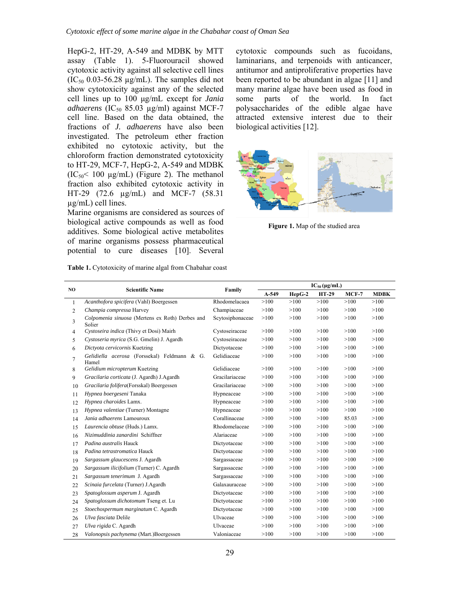HepG-2, HT-29, A-549 and MDBK by MTT assay (Table 1). 5-Fluorouracil showed cytotoxic activity against all selective cell lines  $(IC_{50}$  0.03-56.28  $\mu$ g/mL). The samples did not show cytotoxicity against any of the selected cell lines up to 100 μg/mL except for *Jania*   $adhaerens (IC<sub>50</sub> 85.03 µg/ml) against MCF-7$ cell line. Based on the data obtained, the fractions of *J. adhaerens* have also been investigated. The petroleum ether fraction exhibited no cytotoxic activity, but the chloroform fraction demonstrated cytotoxicity to HT-29, MCF-7, HepG-2, A-549 and MDBK  $(IC_{50} \le 100 \text{ µg/mL})$  (Figure 2). The methanol fraction also exhibited cytotoxic activity in HT-29 (72.6 µg/mL) and MCF-7 (58.31 µg/mL) cell lines.

Marine organisms are considered as sources of biological active compounds as well as food additives. Some biological active metabolites of marine organisms possess pharmaceutical potential to cure diseases [10]. Several

**Table 1.** Cytotoxicity of marine algal from Chabahar coast

cytotoxic compounds such as fucoidans, laminarians, and terpenoids with anticancer, antitumor and antiproliferative properties have been reported to be abundant in algae [11] and many marine algae have been used as food in some parts of the world. In fact polysaccharides of the edible algae have attracted extensive interest due to their biological activities [12].



**Figure 1.** Map of the studied area

| N <sub>O</sub> | <b>Scientific Name</b>                                    | Family           | $IC_{50} (\mu g/mL)$ |          |              |         |             |
|----------------|-----------------------------------------------------------|------------------|----------------------|----------|--------------|---------|-------------|
|                |                                                           |                  | $A-549$              | $HepG-2$ | <b>HT-29</b> | $MCF-7$ | <b>MDBK</b> |
| $\mathbf{1}$   | Acanthofora spicifera (Vahl) Boergessen                   | Rhodomelacaea    | >100                 | >100     | >100         | >100    | >100        |
| $\overline{2}$ | Champia compressa Harvey                                  | Champiaceae      | >100                 | >100     | >100         | >100    | >100        |
| 3              | Colpomenia sinuosa (Mertens ex Roth) Derbes and<br>Solier | Scytosiphonaceae | >100                 | >100     | >100         | >100    | >100        |
| 4              | Cystoseira indica (Thivy et Dosi) Mairh                   | Cystoseiraceae   | >100                 | >100     | >100         | >100    | >100        |
| 5              | Cystoseria myrica (S.G. Gmelin) J. Agardh                 | Cystoseiraceae   | >100                 | >100     | >100         | >100    | >100        |
| 6              | Dictyota cervicornis Kuetzing                             | Dictyotaceae     | >100                 | >100     | >100         | >100    | >100        |
| 7              | Gelidiella acerosa (Forssekal) Feldmann & G.<br>Hamel     | Gelidiaceae      | >100                 | >100     | >100         | >100    | >100        |
| 8              | Gelidium micropterum Kuetzing                             | Gelidiaceae      | >100                 | >100     | >100         | >100    | >100        |
| 9              | Gracilaria corticata (J. Agardh) J.Agardh                 | Gracilariaceae   | >100                 | >100     | >100         | >100    | >100        |
| 10             | Gracilaria folifera(Forsskal) Boergessen                  | Gracilariaceae   | >100                 | >100     | >100         | >100    | >100        |
| 11             | Hypnea boergeseni Tanaka                                  | Hypneaceae       | >100                 | >100     | >100         | >100    | >100        |
| 12             | Hypnea charoides Lamx.                                    | Hypneaceae       | >100                 | >100     | >100         | >100    | >100        |
| 13             | Hypnea valentiae (Turner) Montagne                        | Hypneaceae       | >100                 | >100     | >100         | >100    | >100        |
| 14             | Jania adhaerens Lamouroux                                 | Corallinaceae    | >100                 | >100     | >100         | 85.03   | >100        |
| 15             | Laurencia obtuse (Huds.) Lamx.                            | Rhodomelaceae    | >100                 | >100     | >100         | >100    | >100        |
| 16             | Nizimuddinia zanardini Schiffner                          | Alariaceae       | >100                 | >100     | >100         | >100    | >100        |
| 17             | Padina australis Hauck                                    | Dictyotaceae     | >100                 | >100     | >100         | >100    | >100        |
| 18             | Padina tetrastromatica Hauck                              | Dictyotaceae     | >100                 | >100     | >100         | >100    | >100        |
| 19             | Sargassum glaucescens J. Agardh                           | Sargassaceae     | >100                 | >100     | >100         | >100    | >100        |
| 20             | Sargassum ilicifolium (Turner) C. Agardh                  | Sargassaceae     | >100                 | >100     | >100         | >100    | >100        |
| 21             | Sargassum tenerimum J. Agardh                             | Sargassaceae     | >100                 | >100     | >100         | >100    | >100        |
| 22             | Scinaia furcelata (Turner) J.Agardh                       | Galaxauraceae    | >100                 | >100     | >100         | >100    | >100        |
| 23             | Spatoglossum asperum J. Agardh                            | Dictyotaceae     | >100                 | >100     | >100         | >100    | >100        |
| 24             | Spatoglossum dichotomum Tseng et. Lu                      | Dictyotaceae     | >100                 | >100     | >100         | >100    | >100        |
| 25             | Stoechospermum marginatum C. Agardh                       | Dictyotaceae     | >100                 | >100     | >100         | >100    | >100        |
| 26             | Ulva fasciata Delile                                      | Ulvaceae         | >100                 | >100     | >100         | >100    | >100        |
| 27             | Ulva rigida C. Agardh                                     | Ulvaceae         | >100                 | >100     | >100         | >100    | >100        |
| 28             | Valonopsis pachynema (Mart.)Boergessen                    | Valoniaceae      | >100                 | >100     | >100         | >100    | >100        |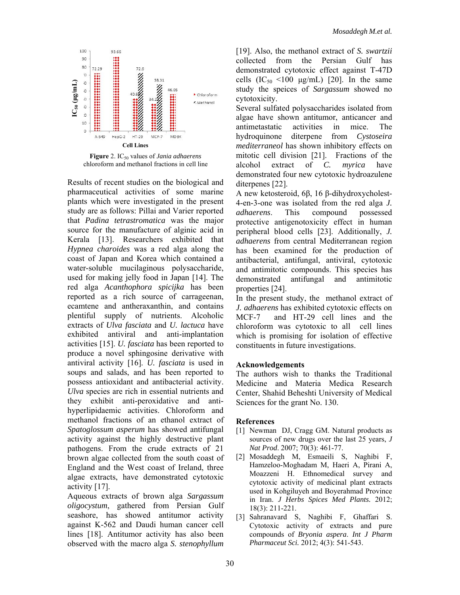

Figure 2. IC<sub>50</sub> values of *Jania adhaerens* chloroform and methanol fractions in cell line

Results of recent studies on the biological and pharmaceutical activities of some marine plants which were investigated in the present study are as follows: Pillai and Varier reported that *Padina tetrastromatica* was the major source for the manufacture of alginic acid in Kerala [13]. Researchers exhibited that *Hypnea charoides* was a red alga along the coast of Japan and Korea which contained a water-soluble mucilaginous polysaccharide, used for making jelly food in Japan [14]. The red alga *Acanthophora spicijka* has been reported as a rich source of carrageenan, ecamtene and antheraxanthin, and contains plentiful supply of nutrients. Alcoholic extracts of *Ulva fasciata* and *U. lactuca* have exhibited antiviral and anti-implantation activities [15]. *U. fasciata* has been reported to produce a novel sphingosine derivative with antiviral activity [16]. *U. fasciata* is used in soups and salads, and has been reported to possess antioxidant and antibacterial activity. *Ulva* species are rich in essential nutrients and they exhibit anti-peroxidative and antihyperlipidaemic activities. Chloroform and methanol fractions of an ethanol extract of *Spatoglossum asperum* has showed antifungal activity against the highly destructive plant pathogens. From the crude extracts of 21 brown algae collected from the south coast of England and the West coast of Ireland, three algae extracts, have demonstrated cytotoxic activity [17].

Aqueous extracts of brown alga *Sargassum oligocystum*, gathered from Persian Gulf seashore, has showed antitumor activity against K-562 and Daudi human cancer cell lines [18]. Antitumor activity has also been observed with the macro alga *S. stenophyllum* 

[19]. Also, the methanol extract of *S. swartzii*  collected from the Persian Gulf has demonstrated cytotoxic effect against T-47D cells  $(IC_{50} < 100 \text{ µg/mL})$  [20]. In the same study the speices of *Sargassum* showed no cytotoxicity.

Several sulfated polysaccharides isolated from algae have shown antitumor, anticancer and antimetastatic activities in mice. The hydroquinone diterpene from *Cystoseira mediterraneol* has shown inhibitory effects on mitotic cell division [21]. Fractions of the alcohol extract of *C. myrica* have demonstrated four new cytotoxic hydroazulene diterpenes [22].

A new ketosteroid, 6β, 16 β-dihydroxycholest-4-en-3-one was isolated from the red alga *J. adhaerens*. This compound possessed protective antigenotoxicity effect in human peripheral blood cells [23]. Additionally, *J. adhaerens* from central Mediterranean region has been examined for the production of antibacterial, antifungal, antiviral, cytotoxic and antimitotic compounds. This species has demonstrated antifungal and antimitotic properties [24].

In the present study, the methanol extract of *J. adhaerens* has exhibited cytotoxic effects on MCF-7 and HT-29 cell lines and the chloroform was cytotoxic to all cell lines which is promising for isolation of effective constituents in future investigations.

# **Acknowledgements**

The authors wish to thanks the Traditional Medicine and Materia Medica Research Center, Shahid Beheshti University of Medical Sciences for the grant No. 130.

#### **References**

- [1] Newman DJ, Cragg GM. Natural products as sources of new drugs over the last 25 years, *J Nat Prod*. 2007; 70(3): 461-77.
- [2] Mosaddegh M, Esmaeili S, Naghibi F, Hamzeloo-Moghadam M, Haeri A, Pirani A, Moazzeni H. Ethnomedical survey and cytotoxic activity of medicinal plant extracts used in Kohgiluyeh and Boyerahmad Province in Iran. *J Herbs Spices Med Plants.* 2012; 18(3): 211-221.
- [3] Sahranavard S, Naghibi F, Ghaffari S. Cytotoxic activity of extracts and pure compounds of *Bryonia aspera*. *Int J Pharm Pharmaceut Sci.* 2012; 4(3): 541-543.